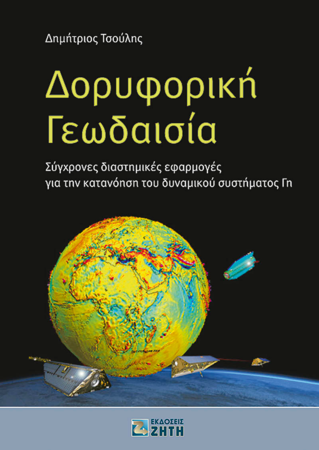Δημήτριος Τσούλης

### Δορυφορική Γεωδαισία

Σύγχρονες διαστημικές εφαρμογές για την κατανόηση του δυναμικού συστήματος Γη



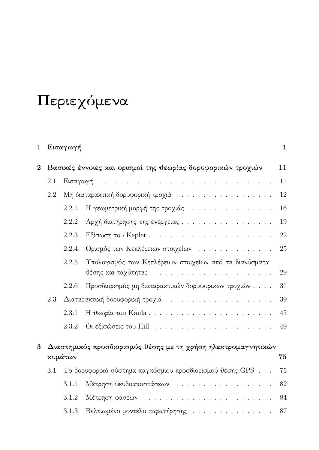# Περιεχόμενα

| $\mathbf{1}$ |                                                                                | Εισαγωγή |                                                                                                                | $\mathbf{1}$ |  |  |
|--------------|--------------------------------------------------------------------------------|----------|----------------------------------------------------------------------------------------------------------------|--------------|--|--|
| $\mathbf{2}$ | Βασικές έννοιες και ορισμοί της θεωρίας δορυφορικών τροχιών                    |          |                                                                                                                |              |  |  |
|              | 2.1                                                                            |          |                                                                                                                | 11           |  |  |
|              | 2.2                                                                            |          |                                                                                                                | 12           |  |  |
|              |                                                                                | 2.2.1    | Η γεωμετρική μορφή της τροχιάς                                                                                 | 16           |  |  |
|              |                                                                                | 2.2.2    | Αρχή διατήρησης της ενέργειας                                                                                  | 19           |  |  |
|              |                                                                                | 2.2.3    |                                                                                                                | 22           |  |  |
|              |                                                                                | 2.2.4    | Ορισμός των Κεπλέρειων στοιχείων                                                                               | 25           |  |  |
|              |                                                                                | 2.2.5    | Υπολογισμός των Κεπλέρειων στοιχείων από τα διανύσματα                                                         | 29           |  |  |
|              |                                                                                | 2.2.6    | Προσδιορισμός μη διαταρακτικών δορυφορικών τροχιών                                                             | 31           |  |  |
|              | 2.3                                                                            |          |                                                                                                                | 39           |  |  |
|              |                                                                                | 2.3.1    |                                                                                                                | 45           |  |  |
|              |                                                                                | 2.3.2    | Οι εξισώσεις του Hill (εριτρόπου, το προσπολόφος του Hill (εριτρόπου, το προσπολόφος του Hill (εριτρόπου, το π | 49           |  |  |
| 3            | Διαστημικός προσδιορισμός θέσης με τη χρήση ηλεκτρομαγνητικών<br>κυμάτων<br>75 |          |                                                                                                                |              |  |  |
|              | $3.1\,$                                                                        |          | To δορυφορικό σύστημα παγκόσμιου προσδιορισμού θέσης GPS                                                       | 75           |  |  |
|              |                                                                                | 3.1.1    | Μέτρηση ψευδοαποστάσεων                                                                                        | 82           |  |  |
|              |                                                                                | 3.1.2    |                                                                                                                | 84           |  |  |
|              |                                                                                | 3.1.3    | Βελτιωμένο μοντέλο παρατήρησης                                                                                 | 87           |  |  |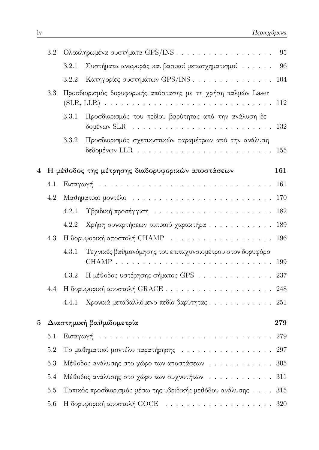|   | 3.2                                                     | Ολοκληρωμένα συστήματα GPS/INS                                                            |                                                                                                                                                   | 95 |  |  |
|---|---------------------------------------------------------|-------------------------------------------------------------------------------------------|---------------------------------------------------------------------------------------------------------------------------------------------------|----|--|--|
|   |                                                         | 3.2.1                                                                                     | Συστήματα αναφοράς και βασικοί μετασχηματισμοί                                                                                                    | 96 |  |  |
|   |                                                         | 3.2.2                                                                                     | Κατηγορίες συστημάτων GPS/INS 104                                                                                                                 |    |  |  |
|   | 3.3                                                     | Προσδιορισμός δορυφορικής απόστασης με τη χρήση παλμών Laser                              |                                                                                                                                                   |    |  |  |
|   |                                                         | 3.3.1                                                                                     | Προσδιορισμός του πεδίου βαρύτητας από την ανάλυση δε-<br>δομένων SLR $\ldots \ldots \ldots \ldots \ldots \ldots \ldots \ldots \ldots \ldots 132$ |    |  |  |
|   |                                                         | 3.3.2                                                                                     | Προσδιορισμός σχετικιστικών παραμέτρων από την ανάλυση                                                                                            |    |  |  |
| 4 | Η μέθοδος της μέτρησης διαδορυφορικών αποστάσεων<br>161 |                                                                                           |                                                                                                                                                   |    |  |  |
|   | 4.1                                                     |                                                                                           | Εισαγωγή  161                                                                                                                                     |    |  |  |
|   | 4.2                                                     |                                                                                           |                                                                                                                                                   |    |  |  |
|   |                                                         | 4.2.1                                                                                     |                                                                                                                                                   |    |  |  |
|   |                                                         | 4.2.2                                                                                     | Χρήση συναρτήσεων τοπικού χαρακτήρα 189                                                                                                           |    |  |  |
|   | 4.3                                                     | Η δορυφορική αποστολή CHAMP $\ldots \ldots \ldots \ldots \ldots \ldots \ldots \ldots 196$ |                                                                                                                                                   |    |  |  |
|   |                                                         | 4.3.1                                                                                     | Τεχνικές βαθμονόμησης του επιταχυνσιομέτρου στον δορυφόρο                                                                                         |    |  |  |
|   |                                                         | 4.3.2                                                                                     | Η μέθοδος υστέρησης σήματος GPS 237                                                                                                               |    |  |  |
|   | 4.4                                                     |                                                                                           |                                                                                                                                                   |    |  |  |
|   |                                                         | 4.4.1                                                                                     | Χρονικά μεταβαλλόμενο πεδίο βαρύτητας 251                                                                                                         |    |  |  |
| 5 | Διαστημική βαθμιδομετρία<br>279                         |                                                                                           |                                                                                                                                                   |    |  |  |
|   | 5.1                                                     |                                                                                           |                                                                                                                                                   |    |  |  |
|   | 5.2                                                     |                                                                                           |                                                                                                                                                   |    |  |  |
|   | 5.3                                                     | Μέθοδος ανάλυσης στο χώρο των αποστάσεων 305                                              |                                                                                                                                                   |    |  |  |
|   | $5.4\,$                                                 | Μέθοδος ανάλυσης στο χώρο των συχνοτήτων<br>311                                           |                                                                                                                                                   |    |  |  |
|   | $5.5\,$                                                 | Τοπικός προσδιορισμός μέσω της υβριδικής μεθόδου ανάλυσης 315                             |                                                                                                                                                   |    |  |  |
|   | $5.6\,$                                                 |                                                                                           |                                                                                                                                                   |    |  |  |

<u> 1980 - Jan Stein Stein Stein Stein Stein Stein Stein Stein Stein Stein Stein Stein Stein Stein Stein Stein S</u>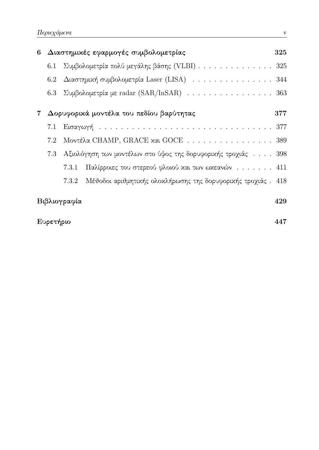| 6 Διαστημικές εφαρμογές συμβολομετρίας |                                                                                 |     |
|----------------------------------------|---------------------------------------------------------------------------------|-----|
|                                        | 6.1 Συμβολομετρία πολύ μεγάλης βάσης (VLBI) 325                                 |     |
|                                        | 6.2 Διαστημική συμβολομετρία Laser (LISA) 344                                   |     |
|                                        | 6.3 Συμβολομετρία με radar (SAR/InSAR) $\ldots \ldots \ldots \ldots \ldots$ 363 |     |
|                                        | 7 Δορυφορικά μοντέλα του πεδίου βαρύτητας                                       | 377 |
|                                        |                                                                                 |     |
| 7.2 Μοντέλα CHAMP, GRACE και GOCE  389 |                                                                                 |     |
|                                        | 7.3 Αξιολόγηση των μοντέλων στο ύψος της δορυφορικής τροχιάς  398               |     |
|                                        | 7.3.1 Παλίρροιες του στερεού φλοιού και των ωχεανών 411                         |     |
|                                        | 7.3.2 Μέθοδοι αριθμητικής ολοκλήρωσης της δορυφορικής τροχιάς. 418              |     |
|                                        | Βιβλιογραφία                                                                    | 429 |

### Ευρετήριο

447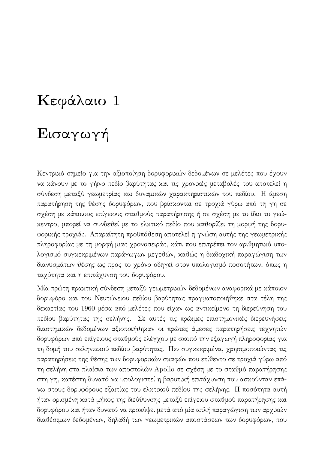## Κεφάλαιο 1

## Εισαγωγή

Κεντρικό σημείο για την αξιοποίηση δορυφορικών δεδομένων σε μελέτες που έχουν να κάνουν με το γήινο πεδίο βαρύτητας και τις χρονικές μεταβολές του αποτελεί η σύνδεση μεταξύ γεωμετρίας και δυναμικών χαρακτηριστικών του πεδίου. Η άμεση παρατήρηση της θέσης δορυφόρων, που βρίσχονται σε τροχιά γύρω από τη γη σε σχέση με κάποιους επίγειους σταθμούς παρατήρησης ή σε σχέση με το ίδιο το γεώκεντρο, μπορεί να συνδεθεί με το ελκτικό πεδίο που καθορίζει τη μορφή της δορυφορικής τροχιάς. Απαραίτητη προϋπόθεση αποτελεί η γνώση αυτής της γεωμετρικής πληροφορίας με τη μορφή μιας χρονοσειράς, κάτι που επιτρέπει τον αριθμητικό υπολογισμό συγκεκριμένων παράγωγων μεγεθών, καθώς η διαδοχική παραγώγιση των διανυσμάτων θέσης ως προς το χρόνο οδηγεί στον υπολογισμό ποσοτήτων, όπως η ταχύτητα και η επιτάχυνση του δορυφόρου.

Μία πρώτη πραχτιχή σύνδεση μεταξύ γεωμετριχών δεδομένων αναφοριχά με χάποιον δορυφόρο και του Νευτώνειου πεδίου βαρύτητας πραγματοποιήθηκε στα τέλη της δεκαετίας του 1960 μέσα από μελέτες που είχαν ως αντικείμενο τη διερεύνηση του πεδίου βαρύτητας της σελήνης. Σε αυτές τις πρώιμες επιστημονικές διερευνήσεις διαστημικών δεδομένων αξιοποιήθηκαν οι πρώτες άμεσες παρατηρήσεις τεχνητών δορυφόρων από επίγειους σταθμούς ελέγχου με σχοπό την εξαγωγή πληροφορίας για τη δομή του σεληνιακού πεδίου βαρύτητας. Πιο συγκεκριμένα, χρησιμοποιώντας τις παρατηρήσεις της θέσης των δορυφορικών σκαφών που ετίθεντο σε τροχιά γύρω από τη σελήνη στα πλαίσια των αποστολών Apollo σε σχέση με το σταθμό παρατήρησης στη γη, κατέστη δυνατό να υπολογιστεί η βαρυτική επιτάχυνση που ασκούνταν επάνω στους δορυφόρους εξαιτίας του ελκτικού πεδίου της σελήνης. Η ποσότητα αυτή ήταν ορισμένη κατά μήκος της διεύθυνσης μεταξύ επίγειου σταθμού παρατήρησης και δορυφόρου και ήταν δυνατό να προκύψει μετά από μία απλή παραγώγιση των αρχικών διαθέσιμων δεδομένων, δηλαδή των γεωμετρικών αποστάσεων των δορυφόρων, που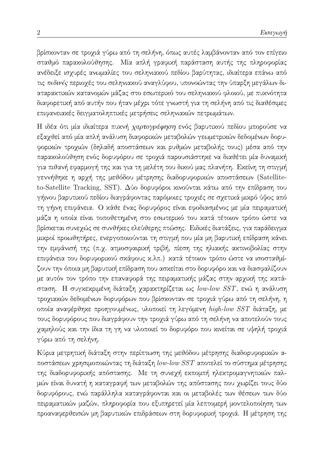βρίσχονταν σε τροχιά γύρω από τη σελήνη, όπως αυτές λαμβάνονταν από τον επίγειο σταθμό παρακολούθησης. Μία απλή γραφική παράσταση αυτής της πληροφορίας ανέδειξε ισχυρές ανωμαλίες του σεληνιακού πεδίου βαρύτητας, ιδιαίτερα επάνω από τις πεδινές περιοχές του σεληνιακού αναγλύφου, υπονοώντας την ύπαρξη μεγάλων διαταρακτικών κατανομών μάζας στο εσωτερικό του σεληνιακού φλοιού, με πυκνότητα διαφορετική από αυτήν που ήταν μέχρι τότε γνωστή για τη σελήνη από τις διαθέσιμες επιφανειακές δειγματοληπτικές μετρήσεις σεληνιακών πετρωμάτων.

Η ιδέα ότι μία ιδιαίτερα πυκνή χαρτογράφηση ενός βαρυτικού πεδίου μπορούσε να εξαγθεί από μία απλή ανάλυση διαφορικών μεταβολών γεωμετρικών δεδομένων δορυφορικών τροχιών (δηλαδή αποστάσεων και ρυθμών μεταβολής τους) μέσα από την παρακολούθηση ενός δορυφόρου σε τροχιά παρουσιάστηκε να διαθέτει μία δυναμική για πιθανή εφαρμογή της και για τη μελέτη του δικού μας πλανήτη. Εκείνη τη στιγμή γεννήθηκε η αρχή της μεθόδου μέτρησης διαδορυφορικών αποστάσεων (Satelliteto-Satellite Tracking, SST). Δύο δορυφόροι κινούνται κάτω από την επίδραση του γήινου βαρυτικού πεδίου διαγράφοντας παρόμοιες τροχιές σε σχετικά μικρό ύψος από τη γήινη επιφάνεια. Ο κάθε ένας δορυφόρος είναι εφοδιασμένος με μία πειραματική μάζα η οποία είναι τοποθετημένη στο εσωτερικό του κατά τέτοιον τρόπο ώστε να βρίσκεται συνεχώς σε συνθήκες ελεύθερης πτώσης. Ειδικές διατάξεις, για παράδειγμα μικροί προωθητήρες, ενεργοποιούνται τη στιγμή που μία μη βαρυτική επίδραση κάνει την εμφάνισή της (π.χ. ατμοσφαιρική τριβή, πίεση της ηλιακής ακτινοβολίας στην επιφάνεια του δορυφορικού σκάφους κ.λπ.) κατά τέτοιον τρόπο ώστε να ισοσταθμίζουν την όποια μη βαρυτική επίδραση που ασκείται στο δορυφόρο και να διασφαλίζουν με αυτόν τον τρόπο την επαναφορά της πειραματικής μάζας στην αρχική της κατάσταση. Η συγχεχριμένη διάταξη χαραχτηρίζεται ως low-low SST, ενώ η ανάλυση τροχιακών δεδομένων δορυφόρων που βρίσκονταν σε τροχιά γύρω από τη σελήνη, η οποία αναφέρθηκε προηγουμένως, υλοποιεί τη λεγόμενη high-low SST διάταξη, με τους δορυφόρους που διαγράφουν την τροχιά γύρω από τη σελήνη να αποτελούν τους χαμηλούς και την ίδια τη γη να υλοποιεί το δορυφόρο που κινείται σε υψηλή τροχιά γύρω από τη σελήνη.

Κύρια μετρητική διάταξη στην περίπτωση της μεθόδου μέτρησης διαδορυφορικών αποστάσεων χρησιμοποιώντας τη διάταξη low-low SST αποτελεί το σύστημα μέτρησης της διαδορυφορικής απόστασης. Με τη συνεχή εκπομπή ηλεκτρομαγνητικών παλμών είναι δυνατή η καταγραφή των μεταβολών της απόστασης που χωρίζει τους δύο δορυφόρους, ενώ παράλληλα καταγράφονται και οι μεταβολές των θέσεων των δύο πειραματικών μαζών, πληροφορία που εξυπηρετεί μία λεπτομερή μοντελοποίηση των προαναφερθεισών μη βαρυτικών επιδράσεων στη δορυφορική τροχιά. Η μέτρηση της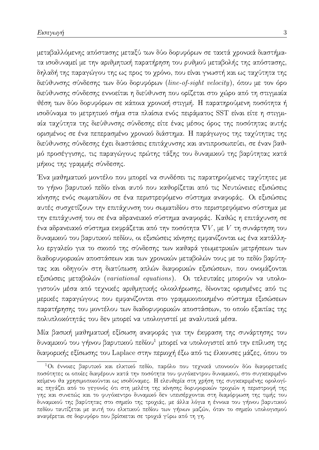μεταβαλλόμενης απόστασης μεταξύ των δύο δορυφόρων σε τακτά χρονικά διαστήματα ισοδυναμεί με την αριθμητική παρατήρηση του ρυθμού μεταβολής της απόστασης, δηλαδή της παραγώγου της ως προς το χρόνο, που είναι γνωστή και ως ταχύτητα της διεύθυνσης σύνδεσης των δύο δορυφόρων (line-of-sight velocity), όπου με τον όρο διεύθυνσης σύνδεσης εννοείται η διεύθυνση που ορίζεται στο χώρο από τη στιγμιαία θέση των δύο δορυφόρων σε κάποια χρονική στιγμή. Η παρατηρούμενη ποσότητα ή ισοδύναμα το μετρητικό σήμα στα πλαίσια ενός πειράματος SST είναι είτε η στιγμιαία ταχύτητα της διεύθυνσης σύνδεσης είτε ένας μέσος όρος της ποσότητας αυτής ορισμένος σε ένα πεπερασμένο χρονικό διάστημα. Η παράγωγος της ταχύτητας της διεύθυνσης σύνδεσης έχει διαστάσεις επιτάχυνσης και αντιπροσωπεύει, σε έναν βαθμό προσέγγισης, τις παραγώγους πρώτης τάξης του δυναμικού της βαρύτητας κατά μήχος της γραμμής σύνδεσης.

Ένα μαθηματικό μοντέλο που μπορεί να συνδέσει τις παρατηρούμενες ταχύτητες με το γήινο βαρυτικό πεδίο είναι αυτό που καθορίζεται από τις Νευτώνειες εξισώσεις χίνησης ενός σωματιδίου σε ένα περιστρεφόμενο σύστημα αναφοράς. Οι εξισώσεις αυτές συσχετίζουν την επιτάχυνση του σωματιδίου στο περιστρεφόμενο σύστημα με την επιτάχυνσή του σε ένα αδρανειακό σύστημα αναφοράς. Καθώς η επιτάχυνση σε ένα αδρανειακό σύστημα εκφράζεται από την ποσότητα  $\nabla V,$  με  $V$  τη συνάρτηση του δυναμικού του βαρυτικού πεδίου, οι εξισώσεις κίνησης εμφανίζονται ως ένα κατάλληλο εργαλείο για το σχοπό της σύνδεσης των χαθαρά γεωμετριχών μετρήσεων των διαδορυφορικών αποστάσεων και των χρονικών μεταβολών τους με το πεδίο βαρύτητας και οδηγούν στη διατύπωση απλών διαφορικών εξισώσεων, που ονομάζονται εξισώσεις μεταβολών (variational equations). Οι τελευταίες μπορούν να υπολογιστούν μέσα από τεχνικές αριθμητικής ολοκλήρωσης, δίνοντας ορισμένες από τις μερικές παραγώγους που εμφανίζονται στο γραμμικοποιημένο σύστημα εξισώσεων παρατήρησης του μοντέλου των διαδορυφορικών αποστάσεων, το οποίο εξαιτίας της πολυπλοκότητάς του δεν μπορεί να υπολογιστεί με αναλυτικά μέσα.

Μία βασική μαθηματική εξίσωση αναφοράς για την έκφραση της συνάρτησης του δυναμικού του γήινου βαρυτικού πεδίου<sup>1</sup> μπορεί να υπολογιστεί από την επίλυση της διαφορικής εξίσωσης του Laplace στην περιοχή έξω από τις έλκουσες μάζες, όπου το

 $^1$ Οι έννοιες βαρυτικό και ελκτικό πεδίο, παρόλο που τεχνικά υπονοούν δύο διαφορετικές ποσότητες οι οποίες διαφέρουν κατά την ποσότητα του φυγόκεντρου δυναμικού, στο συγκεκριμένο κείμενο θα χρησιμοποιούνται ως ισοδύναμες. Η ελευθερία στη χρήση της συγχεχριμένης ορολογίας πηγάζει από το γεγονός ότι στη μελέτη της χίνησης δορυφοριχών τροχιών η περιστροφή της γης και συνεπώς και το φυγόκεντρο δυναμικό δεν υπεισέρχονται στη διαμόρφωση της τιμής του δυναμικού της βαρύτητας στο σημείο της τροχιάς, με άλλα λόγια η έννοια του γήινου βαρυτικού πεδίου ταυτίζεται με αυτή του ελκτικού πεδίου των γήινων μαζών, όταν το σημείο υπολογισμού αναφέρεται σε δορυφόρο που βρίσχεται σε τροχιά γύρω από τη γη.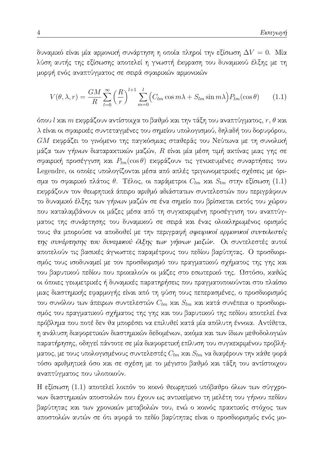δυναμιχό είναι μία αρμονιχή συνάρτηση η οποία πληροί την εξίσωση  $\Delta V=0.$  Μία λύση αυτής της εξίσωσης αποτελεί η γνωστή έκφραση του δυναμικού έλξης με τη μορφή ενός αναπτύγματος σε σειρά σφαιρικών αρμονικών

$$
V(\theta, \lambda, r) = \frac{GM}{R} \sum_{l=0}^{\infty} \left(\frac{R}{r}\right)^{l+1} \sum_{m=0}^{l} \left(C_{lm} \cos m\lambda + S_{lm} \sin m\lambda\right) P_{lm}(\cos \theta) \tag{1.1}
$$

όπου l και  $m$  εκφράζουν αντίστοιχα το βαθμό και την τάξη του αναπτύγματος,  $r$ ,  $\theta$  και λ είναι οι σφαιρικές συντεταγμένες του σημείου υπολογισμού, δηλαδή του δορυφόρου, GM εκφράζει το γινόμενο της παγκόσμιας σταθεράς του Νεύτωνα με τη συνολική μάζα των γήινων διαταρακτικών μαζών,  $R$  είναι μία μέση τιμή ακτίνας μιας γης σε σφαιρική προσέγγιση και  $P_{lm}(\cos\theta)$  εκφράζουν τις γενικευμένες συναρτήσεις του Legendre, οι οποίες υπολογίζονται μέσα από απλές τριγωνομετρικές σχέσεις με όρισμα το σφαιρικό πλάτος θ. Τέλος, οι παράμετροι  $C_{lm}$  και  $S_{lm}$  στην εξίσωση (1.1) εκφράζουν τον θεωρητικά άπειρο αριθμό αδιάστατων συντελεστών που περιγράφουν το δυναμικό έλξης των γήινων μαζών σε ένα σημείο που βρίσκεται εκτός του χώρου που καταλαμβάνουν οι μάζες μέσα από τη συγκεκριμένη προσέγγιση του αναπτύγματος της συνάρτησης του δυναμικού σε σειρά και ένας ολοκληρωμένος ορισμός τους θα μπορούσε να αποδοθεί με την περιγραφή σφαιρικοί αρμονικοί συντελεστές της συνάρτησης του δυναμικού έλξης των γήινων μαζών. Οι συντελεστές αυτοί αποτελούν τις βασικές άγνωστες παραμέτρους του πεδίου βαρύτητας. Ο προσδιορισμός τους ισοδυναμεί με τον προσδιορισμό του πραγματικού σχήματος της γης και του βαρυτικού πεδίου που προκαλούν οι μάζες στο εσωτερικό της. Ωστόσο, καθώς οι όποιες γεωμετρικές ή δυναμικές παρατηρήσεις που πραγματοποιούνται στο πλαίσιο μιας διαστημικής εφαρμογής είναι από τη φύση τους πεπερασμένες, ο προσδιορισμός του συνόλου των άπειρων συντελεστών  $C_{lm}$  και  $S_{lm}$  και κατά συνέπεια ο προσδιορισμός του πραγματικού σχήματος της γης και του βαρυτικού της πεδίου αποτελεί ένα πρόβλημα που ποτέ δεν θα μπορέσει να επιλυθεί κατά μία απόλυτη έννοια. Αντίθετα, η ανάλυση διαφορετικών διαστημικών δεδομένων, ακόμα και των ίδιων μεθοδολογιών παρατήρησης, οδηγεί πάντοτε σε μία διαφορετική επίλυση του συγκεκριμένου προβλήματος, με τους υπολογισμένους συντελεστές  $C_{lm}$  και  $S_{lm}$  να διαφέρουν την κάθε φορά τόσο αριθμητικά όσο και σε σχέση με το μέγιστο βαθμό και τάξη του αντίστοιχου αναπτύγματος που υλοποιούν.

Η εξίσωση (1.1) αποτελεί λοιπόν το χοινό θεωρητιχό υπόβαθρο όλων των σύγχρονων διαστημικών αποστολών που έχουν ως αντικείμενο τη μελέτη του γήινου πεδίου βαρύτητας και των χρονικών μεταβολών του, ενώ ο κοινός πρακτικός στόχος των αποστολών αυτών σε ότι αφορά το πεδίο βαρύτητας είναι ο προσδιορισμός ενός μο-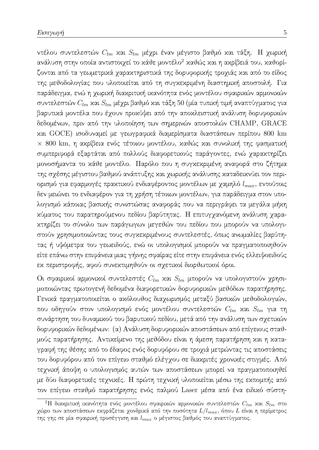ντέλου συντελεστών  $C_{lm}$  και  $S_{lm}$  μέχρι έναν μέγιστο βαθμό και τάξη. Η χωρική ανάλυση στην οποία αντιστοιχεί το κάθε μοντέλο<sup>2</sup> καθώς και η ακρίβειά του, καθορίζονται από τα γεωμετρικά γαρακτηριστικά της δορυφορικής τρογιάς και από το είδος της μεθοδολογίας που υλοποιείται από τη συγχεχριμένη διαστημιχή αποστολή. Για παράδειγμα, ενώ η χωρική διακριτική ικανότητα ενός μοντέλου σφαιρικών αρμονικών συντελεστών  $C_{lm}$  και  $S_{lm}$  μέχρι βαθμό και τάξη 50 (μία τυπική τιμή αναπτύγματος για βαρυτικά μοντέλα που έχουν προχύψει από την αποκλειστική ανάλυση δορυφορικών δεδομένων, πριν από την υλοποίηση των σημερινών αποστολών CHAMP, GRACE και GOCE) ισοδυναμεί με γεωγραφικά διαμερίσματα διαστάσεων περίπου 800 km × 800 km, η ακρίβεια ενός τέτοιου μοντέλου, καθώς και συνολική της φασματική συμπεριφορά εξαρτάται από πολλούς διαφορετικούς παράγοντες, ενώ χαρακτηρίζει μονοσήμαντα το κάθε μοντέλο. Παρόλο που η συγκεκριμένη αναφορά στο ζήτημα της σχέσης μέγιστου βαθμού ανάπτυξης και χωρικής ανάλυσης καταδεικνύει τον περιορισμό για εφαρμογές πρακτικού ενδιαφέροντος μοντέλων με χαμηλό  $l_{max}$ , εντούτοις δεν μειώνει το ενδιαφέρον για τη χρήση τέτοιων μοντέλων, για παράδειγμα στον υπολογισμό κάποιας βασικής συνιστώσας αναφοράς που να περιγράφει τα μεγάλα μήκη κύματος του παρατηρούμενου πεδίου βαρύτητας. Η επιτυγγανόμενη ανάλυση γαραχτηρίζει το σύνολο των παράγωγων μεγεθών του πεδίου που μπορούν να υπολογιστούν χρησιμοποιώντας τους συγκεκριμένους συντελεστές, όπως ανωμαλίες βαρύτητας ή υψόμετρα του γεωειδούς, ενώ οι υπολογισμοί μπορούν να πραγματοποιηθούν είτε επάνω στην επιφάνεια μιας γήινης σφαίρας είτε στην επιφάνεια ενός ελλειψοειδούς εχ περιστροφής, αφού συνεχτιμηθούν οι σχετιχοί διορθωτιχοί όροι.

Οι σφαιρικοί αρμονικοί συντελεστές  $C_{lm}$  και  $S_{lm}$  μπορούν να υπολογιστούν χρησιμοποιώντας πρωτογενή δεδομένα διαφορετικών δορυφορικών μεθόδων παρατήρησης. Γενικά πραγματοποιείται ο ακόλουθος διαχωρισμός μεταξύ βασικών μεθοδολογιών, που οδηγούν στον υπολογισμό ενός μοντέλου συντελεστών  $C_{lm}$  χαι  $S_{lm}$  για τη συνάρτηση του δυναμικού του βαρυτικού πεδίου, μετά από την ανάλυση των σχετικών δορυφορικών δεδομένων: (α) Ανάλυση δορυφορικών αποστάσεων από επίγειους σταθμούς παρατήρησης. Αντικείμενο της μεθόδου είναι η άμεση παρατήρηση και η καταγραφή της θέσης από το έδαφος ενός δορυφόρου σε τροχιά μετρώντας τις αποστάσεις του δορυφόρου από τον επίγειο σταθμό ελέγχου σε διακριτές χρονικές στιγμές. Από τεχνική άποψη ο υπολογισμός αυτών των αποστάσεων μπορεί να πραγματοποιηθεί με δύο διαφορετικές τεχνικές. Η πρώτη τεχνική υλοποιείται μέσω της εκπομπής από τον επίγειο σταθμό παρατήρησης ενός παλμού Laser μέσα από ένα ειδικό σύστη-

 $^2\mathrm{H}$  διαχριτική ικανότητα ενός μοντέλου σφαιρικών αρμονικών συντελεστών  $C_{lm}$  και  $S_{lm}$  στο χώρο των αποστάσεων εκφράζεται χονδρικά από την ποσότητα  $L/l_{max}$ , όπου  $L$  είναι η περίμετρος της γης σε μία σφαιρική προσέγγιση και  $l_{max}$  ο μέγιστος βαθμός του αναπτύγματος.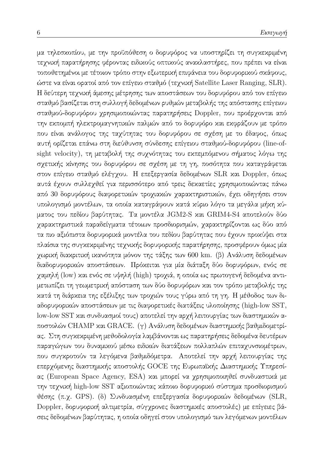μα τηλεσκοπίου, με την προϋπόθεση ο δορυφόρος να υποστηρίζει τη συγκεκριμένη τεχνική παρατήρησης φέροντας ειδικούς οπτικούς ανακλαστήρες, που πρέπει να είναι τοποθετημένοι με τέτοιον τρόπο στην εξωτερική επιφάνεια του δορυφορικού σκάφους, ώστε να είναι ορατοί από τον επίγειο σταθμό (τεχνική Satellite Laser Ranging, SLR). Η δεύτερη τεχνική άμεσης μέτρησης των αποστάσεων του δορυφόρου από τον επίγειο σταθμό βασίζεται στη συλλογή δεδομένων ρυθμών μεταβολής της απόστασης επίγειου σταθμού-δορυφόρου χρησιμοποιώντας παρατηρήσεις Doppler, που προέρχονται από την εκπομπή ηλεκτρομαγνητικών παλμών από το δορυφόρο και εκφράζουν με τρόπο που είναι ανάλογος της ταχύτητας του δορυφόρου σε σχέση με το έδαφος, όπως αυτή ορίζεται επάνω στη διεύθυνση σύνδεσης επίγειου σταθμού-δορυφόρου (line-ofsight velocity), τη μεταβολή της συχνότητας του εκπεμπόμενου σήματος λόγω της σχετικής κίνησης του δορυφόρου σε σχέση με τη γη, ποσότητα που καταγράφεται στον επίγειο σταθμό ελέγχου. Η επεξεργασία δεδομένων SLR και Doppler, όπως αυτά έχουν συλλεχθεί για περισσότερο από τρεις δεκαετίες χρησιμοποιώντας πάνω από 30 δορυφόρους διαφορετικών τροχιακών χαρακτηριστικών, έχει οδηγήσει στον υπολογισμό μοντέλων, τα οποία καταγράφουν κατά κύριο λόγο τα μεγάλα μήκη κύματος του πεδίου βαρύτητας. Τα μοντέλα JGM2-S και GRIM4-S4 αποτελούν δύο γαρακτηριστικά παραδείγματα τέτοιων προσδιορισμών, γαρακτηρίζονται ως δύο από τα πιο αξιόπιστα δορυφορικά μοντέλα του πεδίου βαρύτητας που έχουν προκύψει στα πλαίσια της συγκεκριμένης τεχνικής δορυφορικής παρατήρησης, προσφέρουν όμως μία χωρική διακριτική ικανότητα μόνον της τάξης των 600 km. (β) Ανάλυση δεδομένων διαδορυφορικών αποστάσεων. Πρόκειται για μία διάταξη δύο δορυφόρων, ενός σε χαμηλή (low) και ενός σε υψηλή (high) τροχιά, η οποία ως πρωτογενή δεδομένα αντιμετωπίζει τη γεωμετρική απόσταση των δύο δορυφόρων και τον τρόπο μεταβολής της κατά τη διάρκεια της εξέλιξης των τροχιών τους γύρω από τη γη. Η μέθοδος των διαδορυφορικών αποστάσεων με τις διαφορετικές διατάξεις υλοποίησης (high-low SST, low-low SST και συνδυασμοί τους) αποτελεί την αρχή λειτουργίας των διαστημικών αποστολών CHAMP και GRACE. (γ) Ανάλυση δεδομένων διαστημικής βαθμιδομετρίας. Στη συγκεκριμένη μεθοδολογία λαμβάνονται ως παρατηρήσεις δεδομένα δευτέρων παραγώγων του δυναμικού μέσω ειδικών διατάξεων πολλαπλών επιταχυνσιομέτρων, που συγκροτούν τα λεγόμενα βαθμιδόμετρα. Αποτελεί την αρχή λειτουργίας της επερχόμενης διαστημικής αποστολής GOCE της Ευρωπαϊκής Διαστημικής Υπηρεσίας (European Space Agency, ESA) και μπορεί να χρησιμοποιηθεί συνδυαστικά με την τεχνική high-low SST αξιοποιώντας κάποιο δορυφορικό σύστημα προσδιορισμού θέσης (π.χ. GPS). (δ) Συνδυασμένη επεξεργασία δορυφορικών δεδομένων (SLR, Doppler, δορυφορική αλτιμετρία, σύγχρονες διαστημικές αποστολές) με επίγειες βάσεις δεδομένων βαρύτητας, η οποία οδηγεί στον υπολογισμό των λεγόμενων μοντέλων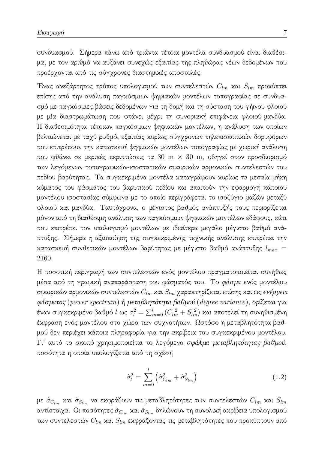συνδυασμού. Σήμερα πάνω από τριάντα τέτοια μοντέλα συνδυασμού είναι διαθέσιμα, με τον αριθμό να αυξάνει συνεχώς εξαιτίας της πληθώρας νέων δεδομένων που προέρχονται από τις σύγχρονες διαστημικές αποστολές.

Ένας ανεξάρτητος τρόπος υπολογισμού των συντελεστών  $C_{lm}$  και  $S_{lm}$  προκύπτει επίσης από την ανάλυση παγκόσμιων ψηφιακών μοντέλων τοπογραφίας σε συνδυασμό με παγκόσμιες βάσεις δεδομένων για τη δομή και τη σύσταση του γήινου φλοιού με μία διαστρωμάτωση που φτάνει μέχρι τη συνοριακή επιφάνεια φλοιού-μανδύα. Η διαθεσιμότητα τέτοιων παγκόσμιων ψηφιακών μοντέλων, η ανάλυση των οποίων βελτιώνεται με ταχύ ρυθμό, εξαιτίας κυρίως σύγχρονων τηλεπισκοπικών δορυφόρων που επιτρέπουν την κατασκευή ψηφιακών μοντέλων τοπογραφίας με χωρική ανάλυση που φθάνει σε μερικές περιπτώσεις τα 30 m  $\times$  30 m, οδηγεί στον προσδιορισμό των λεγόμενων τοπογραφικών-ισοστατικών σφαιρικών αρμονικών συντελεστών του πεδίου βαρύτητας. Τα συγκεκριμένα μοντέλα καταγράφουν κυρίως τα μεσαία μήκη χύματος του φάσματος του βαρυτικού πεδίου και απαιτούν την εφαρμογή κάποιου μοντέλου ισοστασίας σύμφωνα με το οποίο περιγράφεται το ισοζύγιο μαζών μεταξύ φλοιού και μανδύα. Ταυτόχρονα, ο μέγιστος βαθμός ανάπτυξής τους περιορίζεται μόνον από τη διαθέσιμη ανάλυση των παγκόσμιων ψηφιακών μοντέλων εδάφους, κάτι που επιτρέπει τον υπολογισμό μοντέλων με ιδιαίτερα μεγάλο μέγιστο βαθμό ανάπτυξης. Σήμερα η αξιοποίηση της συγκεκριμένης τεχνικής ανάλυσης επιτρέπει την κατασκευή συνθετικών μοντέλων βαρύτητας με μέγιστο βαθμό ανάπτυξης  $l_{max}$  = 2160.

Η ποσοτική περιγραφή των συντελεστών ενός μοντέλου πραγματοποιείται συνήθως μέσα από τη γραφική αναπαράσταση του φάσματός του. Το φάσμα ενός μοντέλου σφαιρικών αρμονικών συντελεστών  $C_{lm}$  και  $S_{lm}$  χαρακτηρίζεται επίσης και ως ενέργεια φάσματος (power spectrum) ή μεταβλητότητα βαθμού (degree variance), ορίζεται για έναν συγκεκριμένο βαθμό l ως  $\sigma_l^2 = \sum_{m=0}^l (C_{lm}^2 + S_{lm}^2)$  και αποτελεί τη συνηθισμένη έκφραση ενός μοντέλου στο χώρο των συχνοτήτων. Ωστόσο η μεταβλητότητα βαθμού δεν περιέχει χάποια πληροφορία για την αχρίβεια του συγχεχριμένου μοντέλου. Γι' αυτό το σχοπό χρησιμοποιείται το λεγόμενο σφάλμα μεταβλητότητας βαθμού, ποσότητα η οποία υπολογίζεται από τη σχέση

$$
\hat{\sigma}_l^2 = \sum_{m=0}^l \left( \hat{\sigma}_{C_{lm}}^2 + \hat{\sigma}_{S_{lm}}^2 \right) \tag{1.2}
$$

με  $\hat{\sigma}_{C_{lm}}$  και  $\hat{\sigma}_{S_{lm}}$  να εκφράζουν τις μεταβλητότητες των συντελεστών  $C_{lm}$  και  $S_{lm}$ αντίστοιχα. Οι ποσότητες  $\hat{\sigma}_{C_{lm}}$  και  $\hat{\sigma}_{S_{lm}}$  δηλώνουν τη συνολική ακρίβεια υπολογισμού των συντελεστών  $C_{lm}$  και $S_{lm}$ εκφράζοντας τις μεταβλητότητες που προκύπτουν από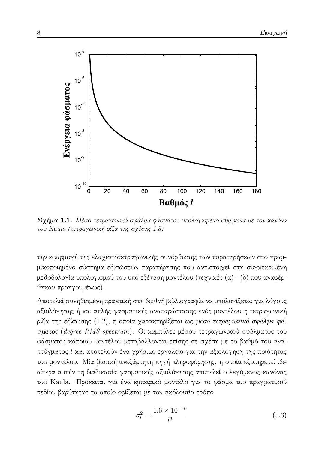

 $\Sigma$ χήμα 1.1: Μέσο τετραγωνικό σφάλμα φάσματος υπολογισμένο σύμφωνα με τον κανόνα του Kaula (τετραγωνική ρίζα της σχέσης 1.3)

την εφαρμογή της ελαχιστοτετραγωνικής συνόρθωσης των παρατηρήσεων στο γραμμικοποιημένο σύστημα εξισώσεων παρατήρησης που αντιστοιχεί στη συγκεκριμένη μεθοδολογία υπολογισμού του υπό εξέταση μοντέλου (τεχνικές (α) - (δ) που αναφέρθηκαν προηγουμένως).

Αποτελεί συνηθισμένη πρακτική στη διεθνή βιβλιογραφία να υπολογίζεται για λόγους αξιολόγησης ή και απλής φασματικής αναπαράστασης ενός μοντέλου η τετραγωνική ρίζα της εξίσωσης (1.2), η οποία χαρακτηρίζεται ως μέσο τετραγωνικό σφάλμα φάσματος (degree RMS spectrum). Οι καμπύλες μέσου τετραγωνικού σφάλματος του φάσματος κάποιου μοντέλου μεταβάλλονται επίσης σε σχέση με το βαθμό του αναπτύγματος l και αποτελούν ένα χρήσιμο εργαλείο για την αξιολόγηση της ποιότητας του μοντέλου. Μία βασική ανεξάρτητη πηγή πληροφόρησης, η οποία εξυπηρετεί ιδιαίτερα αυτήν τη διαδικασία φασματικής αξιολόγησης αποτελεί ο λεγόμενος κανόνας του Kaula. Πρόχειται για ένα εμπειριχό μοντέλο για το φάσμα του πραγματιχού πεδίου βαρύτητας το οποίο ορίζεται με τον ακόλουθο τρόπο

$$
\sigma_l^2 = \frac{1.6 \times 10^{-10}}{l^3} \tag{1.3}
$$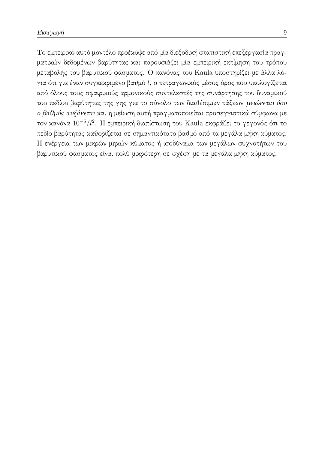Το εμπειρικό αυτό μοντέλο προέκυψε από μία διεξοδική στατιστική επεξεργασία πραγματικών δεδομένων βαρύτητας και παρουσιάζει μία εμπειρική εκτίμηση του τρόπου μεταβολής του βαρυτικού φάσματος. Ο κανόνας του Kaula υποστηρίζει με άλλα λόγια ότι για έναν συγκεκριμένο βαθμό l, ο τετραγωνικός μέσος όρος που υπολογίζεται από όλους τους σφαιρικούς αρμονικούς συντελεστές της συνάρτησης του δυναμικού του πεδίου βαρύτητας της γης για το σύνολο των διαθέσιμων τάξεων μειώνεται όσο ο βαθμός αυξάνεται και η μείωση αυτή πραγματοποιείται προσεγγιστικά σύμφωνα με τον κανόνα  $10^{-5}/l^2$ . Η εμπειρική διαπίστωση του Kaula εκφράζει το γεγονός ότι το πεδίο βαρύτητας καθορίζεται σε σημαντικότατο βαθμό από τα μεγάλα μήκη κύματος. Η ενέργεια των μικρών μηκών κύματος ή ισοδύναμα των μεγάλων συχνοτήτων του βαρυτικού φάσματος είναι πολύ μικρότερη σε σχέση με τα μεγάλα μήκη κύματος.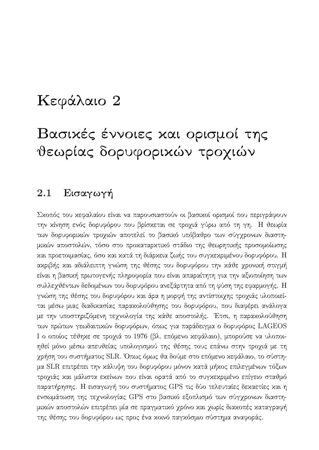### Κεφάλαιο 2

## Βασιχές έννοιες χαι ορισμοί της θεωρίας δορυφορικών τροχιών

#### 2.1 Εισαγωγή

Σκοπός του κεφαλαίου είναι να παρουσιαστούν οι βασικοί ορισμοί που περιγράφουν την κίνηση ενός δορυφόρου που βρίσκεται σε τροχιά γύρω από τη γη. Η θεωρία των δορυφορικών τροχιών αποτελεί το βασικό υπόβαθρο των σύγχρονων διαστημικών αποστολών, τόσο στο προκαταρκτικό στάδιο της θεωρητικής προσομοίωσης και προετοιμασίας, όσο και κατά τη διάρκεια ζωής του συγκεκριμένου δορυφόρου. Η αχριβής χαι αδιάλειπτη γνώση της θέσης του δορυφόρου την χάθε χρονιχή στιγμή είναι η βασική πρωτογενής πληροφορία που είναι απαραίτητη για την αξιοποίηση των συλλεχθέντων δεδομένων του δορυφόρου ανεξάρτητα από τη φύση της εφαρμογής. Η γνώση της θέσης του δορυφόρου και άρα η μορφή της αντίστοιχης τροχιάς υλοποιείται μέσω μιας διαδικασίας παρακολούθησης του δορυφόρου, που διαφέρει ανάλογα με την υποστηριζόμενη τεχνολογία της κάθε αποστολής. Έτσι, η παρακολούθηση των πρώτων γεωδαιτικών δορυφόρων, όπως για παράδειγμα ο δορυφόρος LAGEOS Ι ο οποίος τέθηκε σε τροχιά το 1976 (βλ. επόμενο κεφάλαιο), μπορούσε να υλοποιηθεί μόνο μέσω απευθείας υπολογισμού της θέσης τους επάνω στην τροχιά με τη χρήση του συστήματος SLR. Όπως όμως θα δούμε στο επόμενο κεφάλαιο, το σύστημα SLR επιτρέπει την κάλυψη του δορυφόρου μόνον κατά μήκος επιλεγμένων τόξων τροχιάς και μάλιστα εκείνων που είναι ορατά από το συγκεκριμένο επίγειο σταθμό παρατήρησης. Η εισαγωγή του συστήματος GPS τις δύο τελευταίες δεκαετίες και η ενσωμάτωση της τεχνολογίας GPS στο βασικό εξοπλισμό των σύγχρονων διαστημικών αποστολών επιτρέπει μία σε πραγματικό χρόνο και χωρίς διακοπές καταγραφή της θέσης του δορυφόρου ως προς ένα κοινό παγκόσμιο σύστημα αναφοράς.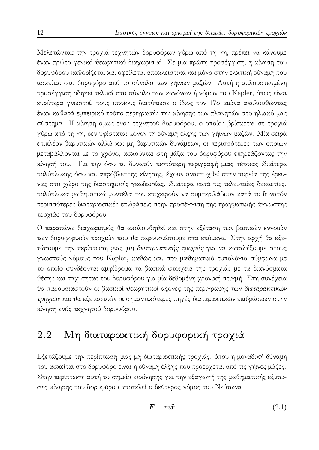Μελετώντας την τροχιά τεχνητών δορυφόρων γύρω από τη γη, πρέπει να κάνουμε έναν πρώτο γενικό θεωρητικό διαχωρισμό. Σε μια πρώτη προσέγγιση, η κίνηση του δορυφόρου καθορίζεται και οφείλεται αποκλειστικά και μόνο στην ελκτική δύναμη που ασκείται στο δορυφόρο από το σύνολο των γήινων μαζών. Αυτή η απλουστευμένη προσέγγιση οδηγεί τελικά στο σύνολο των κανόνων ή νόμων του Kepler, όπως είναι ευρύτερα γνωστοί, τους οποίους διατύπωσε ο ίδιος τον 17ο αιώνα ακολουθώντας έναν καθαρά εμπειρικό τρόπο περιγραφής της κίνησης των πλανητών στο ηλιακό μας σύστημα. Η χίνηση όμως ενός τεχνητού δορυφόρου, ο οποίος βρίσχεται σε τροχιά γύρω από τη γη, δεν υφίσταται μόνον τη δύναμη έλξης των γήινων μαζών. Μία σειρά επιπλέον βαρυτικών αλλά και μη βαρυτικών δυνάμεων, οι περισσότερες των οποίων μεταβάλλονται με το χρόνο, ασκούνται στη μάζα του δορυφόρου επηρεάζοντας την κίνησή του. Για την όσο το δυνατόν πιστότερη περιγραφή μιας τέτοιας ιδιαίτερα πολύπλοκης όσο και απρόβλεπτης κίνησης, έχουν αναπτυχθεί στην πορεία της έρευνας στο χώρο της διαστημικής γεωδαισίας, ιδιαίτερα κατά τις τελευταίες δεκαετίες, πολύπλοκα μαθηματικά μοντέλα που επιχειρούν να συμπεριλάβουν κατά το δυνατόν περισσότερες διαταρακτικές επιδράσεις στην προσέγγιση της πραγματικής άγνωστης τροχιάς του δορυφόρου.

Ο παραπάνω διαχωρισμός θα ακολουθηθεί και στην εξέταση των βασικών εννοιών των δορυφορικών τροχιών που θα παρουσιάσουμε στα επόμενα. Στην αρχή θα εξετάσουμε την περίπτωση μιας μη διαταρακτικής τροχιάς για να καταλήξουμε στους γνωστούς νόμους του Kepler, καθώς και στο μαθηματικό τυπολόγιο σύμφωνα με το οποίο συνδέονται αμφίδρομα τα βασικά στοιχεία της τροχιάς με τα διανύσματα υέσης και ταχύτητας του δορυφόρου για μία δεδομένη χρονική στιγμή. Στη συνέχεια θα παρουσιαστούν οι βασικοί θεωρητικοί άξονες της περιγραφής των διαταρακτικών τροχιών και θα εξεταστούν οι σημαντικότερες πηγές διαταρακτικών επιδράσεων στην κίνηση ενός τεχνητού δορυφόρου.

#### 2.2 Μη διαταρακτική δορυφορική τροχιά

Εξετάζουμε την περίπτωση μιας μη διαταρακτικής τροχιάς, όπου η μοναδική δύναμη που ασκείται στο δορυφόρο είναι η δύναμη έλξης που προέρχεται από τις γήινες μάζες. Στην περίπτωση αυτή το σημείο εκκίνησης για την εξαγωγή της μαθηματικής εξίσωσης κίνησης του δορυφόρου αποτελεί ο δεύτερος νόμος του Νεύτωνα

$$
F = m\ddot{x} \tag{2.1}
$$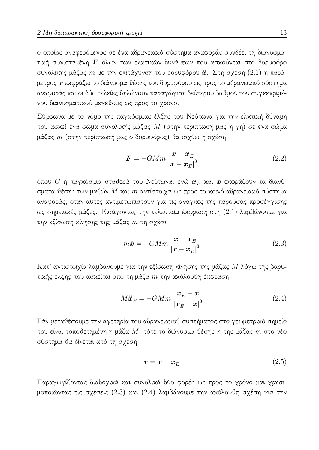ο οποίος αναφερόμενος σε ένα αδρανειακό σύστημα αναφοράς συνδέει τη διανυσματική συνισταμένη  $F$  όλων των ελκτικών δυνάμεων που ασκούνται στο δορυφόρο συνολικής μάζας m με την επιτάχυνση του δορυφόρου  $\ddot{x}$ . Στη σχέση (2.1) η παράμετρος α εκφράζει το διάνυσμα θέσης του δορυφόρου ως προς το αδρανειακό σύστημα αναφοράς και οι δύο τελείες δηλώνουν παραγώγιση δεύτερου βαθμού του συγκεκριμένου διανυσματικού μεγέθους ως προς το χρόνο.

Σύμφωνα με το νόμο της παγκόσμιας έλξης του Νεύτωνα για την ελκτική δύναμη που ασκεί ένα σώμα συνολικής μάζας  $M$  (στην περίπτωσή μας η γη) σε ένα σώμα μάζας  $m$  (στην περίπτωσή μας ο δορυφόρος) θα ισχύει η σχέση

$$
F = -GMm \frac{x - x_E}{|x - x_E|^3}
$$
 (2.2)

όπου  $G$  η παγκόσμια σταθερά του Νεύτωνα, ενώ  $\boldsymbol{x}_E$  και  $\boldsymbol{x}$  εκφράζουν τα διανύσματα θέσης των μαζών  $M$  και  $m$  αντίστοιχα ως προς το κοινό αδρανειακό σύστημα αναφοράς, όταν αυτές αντιμετωπιστούν για τις ανάγχες της παρούσας προσέγγισης ως σημειαχές μάζες. Εισάγοντας την τελευταία έχφραση στη (2.1) λαμβάνουμε για την εξίσωση χίνησης της μάζας  $m$  τη σχέση

$$
m\ddot{x} = -GMm \frac{\boldsymbol{x} - \boldsymbol{x}_E}{|\boldsymbol{x} - \boldsymbol{x}_E|^3}
$$
 (2.3)

Κατ' αντιστοιχία λαμβάνουμε για την εξίσωση κίνησης της μάζας Μ λόγω της βαρυτικής έλξης που ασκείται από τη μάζα  $m$  την ακόλουθη έκφραση

$$
M\ddot{\boldsymbol{x}}_E = -GMm \frac{\boldsymbol{x}_E - \boldsymbol{x}}{|\boldsymbol{x}_E - \boldsymbol{x}|^3}
$$
 (2.4)

Εάν μεταθέσουμε την αφετηρία του αδρανειακού συστήματος στο γεωμετρικό σημείο που είναι τοποθετημένη η μάζα  $M$ , τότε το διάνυσμα θέσης  $\bm{r}$  της μάζας  $m$  στο νέο σύστημα θα δίνεται από τη σχέση

$$
\boldsymbol{r} = \boldsymbol{x} - \boldsymbol{x}_E \tag{2.5}
$$

Παραγωγίζοντας διαδοχικά και συνολικά δύο φορές ως προς το χρόνο και χρησιμοποιώντας τις σχέσεις (2.3) χαι (2.4) λαμβάνουμε την αχόλουθη σχέση για την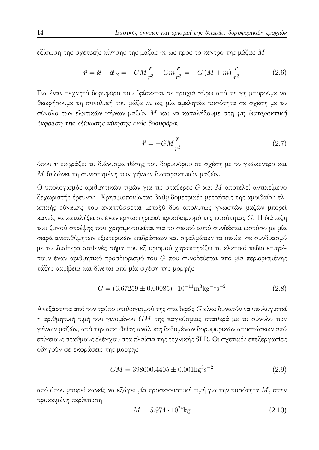εξίσωση της σχετικής κίνησης της μάζας  $m$  ως προς το κέντρο της μάζας  $M$ 

$$
\ddot{\boldsymbol{r}} = \ddot{\boldsymbol{x}} - \ddot{\boldsymbol{x}}_E = -GM\frac{\boldsymbol{r}}{r^3} - Gm\frac{\boldsymbol{r}}{r^3} = -G(M+m)\frac{\boldsymbol{r}}{r^3}
$$
(2.6)

Για έναν τεχνητό δορυφόρο που βρίσκεται σε τροχιά γύρω από τη γη μπορούμε να θεωρήσουμε τη συνολική του μάζα  $m$  ως μία αμελητέα ποσότητα σε σχέση με το σύνολο των ελκτικών γήινων μαζών Μ και να καταλήξουμε στη μη διαταρακτική έκφραση της εξίσωσης κίνησης ενός δορυφόρου

$$
\ddot{\boldsymbol{r}} = -GM \frac{\boldsymbol{r}}{r^3} \tag{2.7}
$$

όπου η εκφράζει το διάνυσμα θέσης του δορυφόρου σε σχέση με το γεώχεντρο και Μ δηλώνει τη συνισταμένη των γήινων διαταρακτικών μαζών.

Ο υπολογισμός αριθμητικών τιμών για τις σταθερές  $G$  και  $M$  αποτελεί αντικείμενο ξεχωριστής έρευνας. Χρησιμοποιώντας βαθμιδομετρικές μετρήσεις της αμοιβαίας ελκτικής δύναμης που αναπτύσσεται μεταξύ δύο απολύτως γνωστών μαζών μπορεί κανείς να καταλήξει σε έναν εργαστηριακό προσδιορισμό της ποσότητας  $G$ . Η διάταξη του ζυγού στρέψης που χρησιμοποιείται για το σχοπό αυτό συνδέεται ωστόσο με μία σειρά ανεπιθύμητων εξωτερικών επιδράσεων και σφαλμάτων τα οποία, σε συνδυασμό με το ιδιαίτερα ασθενές σήμα που εξ ορισμού χαρακτηρίζει το ελκτικό πεδίο επιτρέπουν έναν αριθμητικό προσδιορισμό του  $G$  που συνοδεύεται από μία περιορισμένης τάξης ακρίβεια και δίνεται από μία σχέση της μορφής

$$
G = (6.67259 \pm 0.00085) \cdot 10^{-11} \text{m}^3 \text{kg}^{-1} \text{s}^{-2} \tag{2.8}
$$

Ανεξάρτητα από τον τρόπο υπολογισμού της σταθεράς  $G$  είναι δυνατόν να υπολογιστεί η αριθμητική τιμή του γινομένου  $GM$  της παγκόσμιας σταθερά με το σύνολο των γήινων μαζών, από την απευθείας ανάλυση δεδομένων δορυφορικών αποστάσεων από επίγειους σταθμούς ελέγχου στα πλαίσια της τεχνικής SLR. Οι σχετικές επεξεργασίες οδηγούν σε εκφράσεις της μορφής

$$
GM = 398600.4405 \pm 0.001 \text{kg}^3 \text{s}^{-2} \tag{2.9}
$$

από όπου μπορεί κανείς να εξάγει μία προσεγγιστική τιμή για την ποσότητα  $M$ , στην προκειμένη περίπτωση

$$
M = 5.974 \cdot 10^{24} \text{kg}
$$
 (2.10)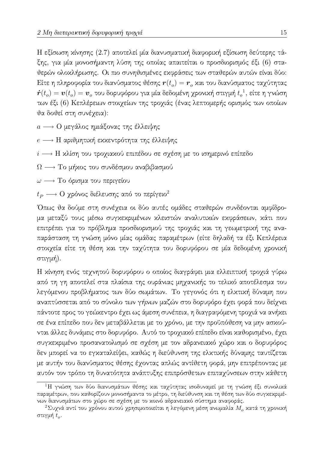Η εξίσωση χίνησης (2.7) αποτελεί μία διανυσματιχή διαφοριχή εξίσωση δεύτερης τάξης, για μία μονοσήμαντη λύση της οποίας απαιτείται ο προσδιορισμός έξι (6) σταθερών ολοκλήρωσης. Οι πιο συνηθισμένες εκφράσεις των σταθερών αυτών είναι δύο: Είτε η πληροφορία του διανύσματος θέσης  $\bm{r}(t_o) = \bm{r}_o$  και του διανύσματος ταχύτητας  $\dot{\bm{r}}(t_o) = \bm{v}(t_o) = \bm{v}_o$  του δορυφόρου για μία δεδομένη χρονική στιγμή  $t_o^{-1}$ , είτε η γνώση των έξι (6) Κεπλέρειων στοιχείων της τροχιάς (ένας λεπτομερής ορισμός των οποίων θα δοθεί στη συνέχεια):

 $a \longrightarrow$  Ο μεγάλος ημιάξονας της έλλειψης

### $e \longrightarrow H$  αριθμητική εκκεντρότητα της έλλειψης

 $i \longrightarrow$  Η κλίση του τροχιακού επιπέδου σε σχέση με το ισημερινό επίπεδο

 $\Omega \longrightarrow$  Το μήχος του συνδέσμου αναβιβασμού

 $\omega \longrightarrow$  Το όρισμα του περιγείου

 $t_P \longrightarrow$  Ο χρόνος διέλευσης από το περίγειο<sup>2</sup>

Όπως θα δούμε στη συνέχεια οι δύο αυτές ομάδες σταθερών συνδέονται αμφίδρομα μεταξύ τους μέσω συγκεκριμένων κλειστών αναλυτικών εκφράσεων, κάτι που επιτρέπει για το πρόβλημα προσδιορισμού της τροχιάς και τη γεωμετρική της αναπαράσταση τη γνώση μόνο μίας ομάδας παραμέτρων (είτε δηλαδή τα έξι Κεπλέρεια στοιχεία είτε τη θέση και την ταχύτητα του δορυφόρου σε μία δεδομένη χρονική στιγμή).

Η χίνηση ενός τεχνητού δορυφόρου ο οποίος διαγράφει μια ελλειπτική τροχιά γύρω από τη γη αποτελεί στα πλαίσια της ουράνιας μηχανικής το τελικό αποτέλεσμα του λεγόμενου προβλήματος των δύο σωμάτων. Το γεγονός ότι η ελκτική δύναμη που αναπτύσσεται από το σύνολο των γήινων μαζών στο δορυφόρο έχει φορά που δείχνει πάντοτε προς το γεώχεντρο έχει ως άμεση συνέπεια, η διαγραφόμενη τροχιά να ανήχει σε ένα επίπεδο που δεν μεταβάλλεται με το χρόνο, με την προϋπόθεση να μην ασκούνται άλλες δυνάμεις στο δορυφόρο. Αυτό το τροχιακό επίπεδο είναι καθορισμένο, έχει συγκεκριμένο προσανατολισμό σε σχέση με τον αδρανειακό χώρο και ο δορυφόρος δεν μπορεί να το εγκαταλείψει, καθώς η διεύθυνση της ελκτικής δύναμης ταυτίζεται με αυτήν του διανύσματος θέσης έχοντας απλώς αντίθετη φορά, μην επιτρέποντας με αυτόν τον τρόπο τη δυνατότητα ανάπτυξης επιπρόσθετων επιταχύνσεων στην κάθετη

 $^1\mathrm{H}$  γνώση των δύο διανυσμάτων θέσης και ταχύτητας ισοδυναμεί με τη γνώση έξι συνολικά παραμέτρων, που καθορίζουν μονοσήμαντα το μέτρο, τη διεύθυνση και τη θέση των δύο συγκεκριμένων διανυσμάτων στο χώρο σε σχέση με το κοινό αδρανειακό σύστημα αναφοράς.

 $^2$ Συχνά αντί του χρόνου αυτού χρησιμοποιείται η λεγόμενη μέση ανωμαλία  $M_o$  κατά τη χρονική στιγμή  $t_o$ .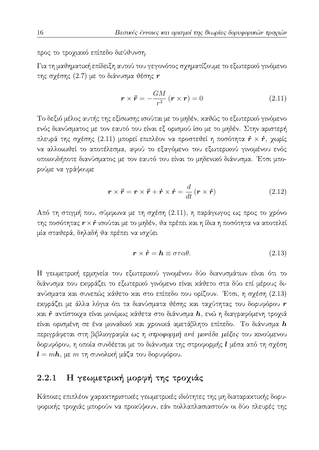προς το τροχιακό επίπεδο διεύθυνση.

Για τη μαθηματική επίδειξη αυτού του γεγονότος σχηματίζουμε το εξωτερικό γινόμενο της σχέσης (2.7) με το διάνυσμα θέσης  $\bm{r}$ 

$$
\mathbf{r} \times \ddot{\mathbf{r}} = -\frac{GM}{r^3} \left( \mathbf{r} \times \mathbf{r} \right) = 0 \tag{2.11}
$$

Το δεξιό μέλος αυτής της εξίσωσης ισούται με το μηδέν, καθώς το εξωτερικό γινόμενο ενός διανύσματος με τον εαυτό του είναι εξ ορισμού ίσο με το μηδέν. Στην αριστερή πλευρά της σχέσης (2.11) μπορεί επιπλέον να προστεθεί η ποσότητα  $\dot{r} \times \dot{r}$ , χωρίς να αλλοιωθεί το αποτέλεσμα, αφού το εξαγόμενο του εξωτερικού γινομένου ενός οποιουδήποτε διανύσματος με τον εαυτό του είναι το μηδενικό διάνυσμα. Έτσι μπορούμε να γράψουμε

$$
\mathbf{r} \times \ddot{\mathbf{r}} = \mathbf{r} \times \ddot{\mathbf{r}} + \dot{\mathbf{r}} \times \dot{\mathbf{r}} = \frac{d}{dt} (\mathbf{r} \times \dot{\mathbf{r}})
$$
(2.12)

Από τη στιγμή που, σύμφωνα με τη σχέση (2.11), η παράγωγος ως προς το χρόνο της ποσότητας  $r \times \dot{r}$  ισούται με το μηδέν, θα πρέπει και η ίδια η ποσότητα να αποτελεί μία σταθερά, δηλαδή θα πρέπει να ισχύει

$$
\mathbf{r} \times \dot{\mathbf{r}} = \mathbf{h} \equiv \sigma \tau \alpha \theta. \tag{2.13}
$$

Η γεωμετρική ερμηνεία του εξωτερικού γινομένου δύο διανυσμάτων είναι ότι το διάνυσμα που εκφράζει το εξωτερικό γινόμενο είναι κάθετο στα δύο επί μέρους διανύσματα και συνεπώς κάθετο και στο επίπεδο που ορίζουν. Έτσι, η σχέση (2.13) εκφράζει με άλλα λόγια ότι τα διανύσματα θέσης και ταχύτητας του δορυφόρου  $\bm{r}$ και *τ* αντίστοιχα είναι μονίμως κάθετα στο διάνυσμα h, ενώ η διαγραφόμενη τροχιά είναι ορισμένη σε ένα μοναδικό και χρονικά αμετάβλητο επίπεδο. Το διάνυσμα  $\bm{h}$ περιγράφεται στη βιβλιογραφία ως η στροφορμή ανά μονάδα μάζας του κινούμενου δορυφόρου, η οποία συνδέεται με το διάνυσμα της στροφορμής l μέσα από τη σχέση  $l = mh$ , με  $m \tau \eta$  συνολική μάζα του δορυφόρου.

#### Η γεωμετρική μορφή της τροχιάς 2.2.1

Κάποιες επιπλέον χαρακτηριστικές γεωμετρικές ιδιότητες της μη διαταρακτικής δορυφορικής τροχιάς μπορούν να προκύψουν, εάν πολλαπλασιαστούν οι δύο πλευρές της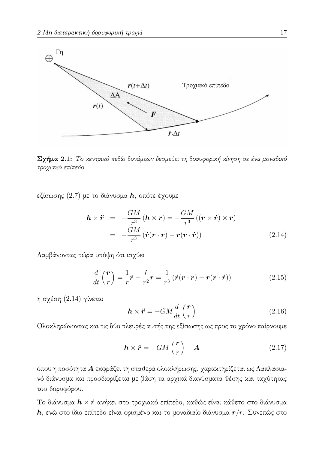

Σγήμα 2.1: Το χεντρικό πεδίο δυνάμεων δεσμεύει τη δορυφορική κίνηση σε ένα μοναδικό τροχιακό επίπεδο

εξίσωσης (2.7) με το διάνυσμα  $\bm{h}$ , οπότε έχουμε

$$
\mathbf{h} \times \ddot{\mathbf{r}} = -\frac{GM}{r^3} (\mathbf{h} \times \mathbf{r}) = -\frac{GM}{r^3} ((\mathbf{r} \times \dot{\mathbf{r}}) \times \mathbf{r})
$$

$$
= -\frac{GM}{r^3} (\dot{\mathbf{r}} (\mathbf{r} \cdot \mathbf{r}) - \mathbf{r} (\mathbf{r} \cdot \dot{\mathbf{r}}))
$$
(2.14)

Λαμβάνοντας τώρα υπόψη ότι ισχύει

$$
\frac{d}{dt}\left(\frac{\boldsymbol{r}}{r}\right) = \frac{1}{r}\dot{\boldsymbol{r}} - \frac{\dot{r}}{r^2}\boldsymbol{r} = \frac{1}{r^3}\left(\dot{\boldsymbol{r}}(\boldsymbol{r}\cdot\boldsymbol{r}) - \boldsymbol{r}(\boldsymbol{r}\cdot\dot{\boldsymbol{r}})\right)
$$
(2.15)

η σχέση (2.14) γίνεται

$$
\boldsymbol{h} \times \ddot{\boldsymbol{r}} = -GM \frac{d}{dt} \left( \frac{\boldsymbol{r}}{r} \right) \tag{2.16}
$$

Ολοκληρώνοντας και τις δύο πλευρές αυτής της εξίσωσης ως προς το χρόνο παίρνουμε

$$
\boldsymbol{h} \times \boldsymbol{\dot{r}} = -GM\left(\frac{\boldsymbol{r}}{r}\right) - \boldsymbol{A} \tag{2.17}
$$

όπου η ποσότητα Α εκφράζει τη σταθερά ολοκλήρωσης, χαρακτηρίζεται ως Λαπλασιανό διάνυσμα και προσδιορίζεται με βάση τα αρχικά διανύσματα θέσης και ταχύτητας του δορυφόρου.

Το διάνυσμα  $h \times \dot{r}$  ανήκει στο τροχιακό επίπεδο, καθώς είναι κάθετο στο διάνυσμα  $\bm{h}$ , ενώ στο ίδιο επίπεδο είναι ορισμένο και το μοναδιαίο διάνυσμα  $\bm{r}/r$ . Συνεπώς στο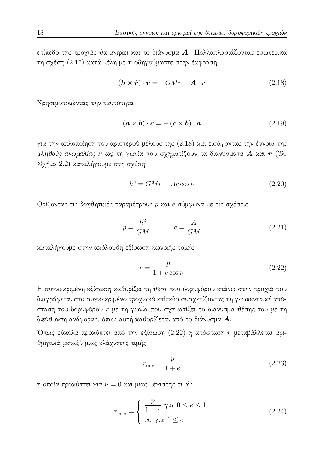επίπεδο της τροχιάς θα ανήχει και το διάνυσμα Α. Πολλαπλασιάζοντας εσωτερικά τη σχέση (2.17) κατά μέλη με  $r$  οδηγούμαστε στην έκφραση

$$
(\mathbf{h} \times \dot{\mathbf{r}}) \cdot \mathbf{r} = -GMr - \mathbf{A} \cdot \mathbf{r}
$$
 (2.18)

Χρησιμοποιώντας την ταυτότητα

$$
(\mathbf{a} \times \mathbf{b}) \cdot \mathbf{c} = -(\mathbf{c} \times \mathbf{b}) \cdot \mathbf{a} \tag{2.19}
$$

για την απλοποίηση του αριστερού μέλους της (2.18) και εισάγοντας την έννοια της αληθούς ανωμαλίας ν ως τη γωνία που σχηματίζουν τα διανύσματα Α και r (βλ. Σχήμα 2.2) καταλήγουμε στη σχέση

$$
h^2 = GMr + Ar\cos\nu\tag{2.20}
$$

Ορίζοντας τις βοηθητικές παραμέτρους p και e σύμφωνα με τις σχέσεις

$$
p = \frac{h^2}{GM} \quad , \qquad e = \frac{A}{GM} \tag{2.21}
$$

καταλήγουμε στην ακόλουθη εξίσωση κωνικής τομής

$$
r = \frac{p}{1 + e \cos \nu} \tag{2.22}
$$

Η συγκεκριμένη εξίσωση καθορίζει τη θέση του δορυφόρου επάνω στην τροχιά που διαγράφεται στο συγκεκριμένο τροχιακό επίπεδο συσχετίζοντας τη γεωκεντρική απόσταση του δορυφόρου r με τη γωνία που σχηματίζει το διάνυσμα θέσης του με τη διεύθυνση ανάφορας, όπως αυτή καθορίζεται από το διάνυσμα  $A$ .

Όπως εύχολα προχύπτει από την εξίσωση (2.22) η απόσταση η μεταβάλλεται αριθμητικά μεταξύ μιας ελάχιστης τιμής

$$
r_{\min} = \frac{p}{1+e} \tag{2.23}
$$

η οποία προχύπτει για  $\nu = 0$  και μιας μέγιστης τιμής

$$
r_{\max} = \begin{cases} \frac{p}{1 - e} \, \gamma \varpropto \, 0 \le e \le 1 \\ \infty \, \gamma \varpropto \, 1 \le e \end{cases} \tag{2.24}
$$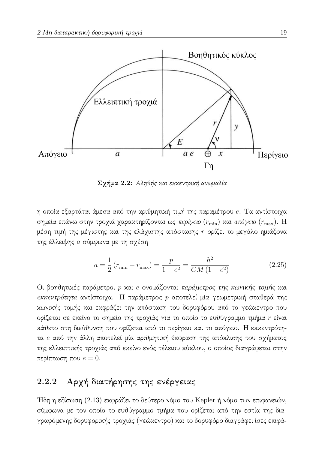

Σχήμα 2.2: Αληθής και εκκεντρική ανωμαλία

η οποία εξαρτάται άμεσα από την αριθμητική τιμή της παραμέτρου e. Τα αντίστοιχα σημεία επάνω στην τροχιά χαρακτηρίζονται ως περίγειο ( $r_{\text{min}}$ ) και απόγειο ( $r_{\text{max}}$ ). Η μέση τιμή της μέγιστης και της ελάχιστης απόστασης η ορίζει το μεγάλο ημιάξονα της έλλειψης α σύμφωνα με τη σχέση

$$
a = \frac{1}{2} (r_{\min} + r_{\max}) = \frac{p}{1 - e^2} = \frac{h^2}{GM (1 - e^2)}
$$
(2.25)

Οι βοηθητικές παράμετροι p και e ονομάζονται παράμετρος της κωνικής τομής και εκκεντρότητα αντίστοιχα. Η παράμετρος p αποτελεί μία γεωμετρική σταθερά της κωνικής τομής και εκφράζει την απόσταση του δορυφόρου από το γεώκεντρο που ορίζεται σε εχείνο το σημείο της τροχιάς για το οποίο το ευθύγραμμο τμήμα r είναι χάθετο στη διεύθυνση που ορίζεται από το περίγειο χαι το απόγειο. Η εχχεντρότητα e από την άλλη αποτελεί μία αριθμητική έκφραση της απόκλισης του σχήματος της ελλειπτικής τροχιάς από εκείνο ενός τέλειου κύκλου, ο οποίος διαγράφεται στην περίπτωση που  $e = 0$ .

#### Αρχή διατήρησης της ενέργειας 2.2.2

Ήδη η εξίσωση (2.13) εκφράζει το δεύτερο νόμο του Kepler ή νόμο των επιφανειών, σύμφωνα με τον οποίο το ευθύγραμμο τμήμα που ορίζεται από την εστία της διαγραφόμενης δορυφορικής τροχιάς (γεώχεντρο) και το δορυφόρο διαγράφει ίσες επιφά-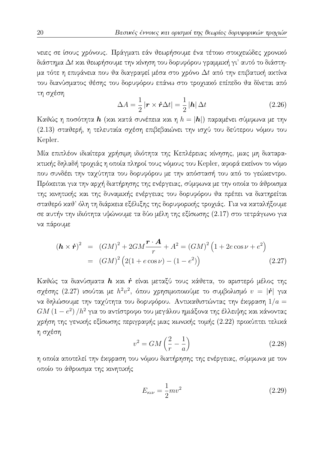νειες σε ίσους χρόνους. Πράγματι εάν θεωρήσουμε ένα τέτοιο στοιχειώδες χρονικό διάστημα  $\Delta t$  και θεωρήσουμε την κίνηση του δορυφόρου γραμμική γι' αυτό το διάστημα τότε η επιφάνεια που θα διαγραφεί μέσα στο χρόνο  $\Delta t$  από την επιβατική ακτίνα του διανύσματος θέσης του δορυφόρου επάνω στο τροχιακό επίπεδο θα δίνεται από τη σχέση

$$
\Delta A = \frac{1}{2} |\mathbf{r} \times \dot{\mathbf{r}} \Delta t| = \frac{1}{2} |\mathbf{h}| \Delta t \qquad (2.26)
$$

Καθώς η ποσότητα  $\bm{h}$  (και κατά συνέπεια και η  $h=|\bm{h}|$ ) παραμένει σύμφωνα με την (2.13) σταθερή, η τελευταία σχέση επιβεβαιώνει την ισχύ του δεύτερου νόμου του Kepler.

Μία επιπλέον ιδιαίτερα χρήσιμη ιδιότητα της Κεπλέρειας κίνησης, μιας μη διαταρακτικής δηλαδή τροχιάς η οποία πληροί τους νόμους του Kepler, αφορά εκείνον το νόμο που συνδέει την ταχύτητα του δορυφόρου με την απόστασή του από το γεώχεντρο. Πρόχειται για την αρχή διατήρησης της ενέργειας, σύμφωνα με την οποία το άθροισμα της κινητικής και της δυναμικής ενέργειας του δορυφόρου θα πρέπει να διατηρείται σταθερό καθ' όλη τη διάρκεια εξέλιξης της δορυφορικής τροχιάς. Για να καταλήξουμε σε αυτήν την ιδιότητα υψώνουμε τα δύο μέλη της εξίσωσης (2.17) στο τετράγωνο για να πάρουμε

$$
(\mathbf{h} \times \dot{\mathbf{r}})^2 = (GM)^2 + 2GM\frac{\mathbf{r} \cdot \mathbf{A}}{r} + A^2 = (GM)^2 \left(1 + 2e \cos \nu + e^2\right)
$$
  
= 
$$
(GM)^2 \left(2(1 + e \cos \nu) - (1 - e^2)\right)
$$
 (2.27)

Καθώς τα διανύσματα h και ή είναι μεταξύ τους κάθετα, το αριστερό μέλος της σχέσης (2.27) ισούται με  $h^2v^2$ , όπου χρησιμοποιούμε το συμβολισμό  $v = |\dot{r}|$  για να δηλώσουμε την ταχύτητα του δορυφόρου. Αντικαθιστώντας την έκφραση  $1/a =$  $GM(1-e^2)/h^2$  για το αντίστροφο του μεγάλου ημιάξονα της έλλειψης και κάνοντας χρήση της γενικής εξίσωσης περιγραφής μιας κωνικής τομής (2.22) προκύπτει τελικά η σχέση

$$
v^2 = GM\left(\frac{2}{r} - \frac{1}{a}\right) \tag{2.28}
$$

η οποία αποτελεί την έχφραση του νόμου διατήρησης της ενέργειας, σύμφωνα με τον οποίο το άθροισμα της κινητικής

$$
E_{\kappa \nu} = \frac{1}{2} m v^2
$$
 (2.29)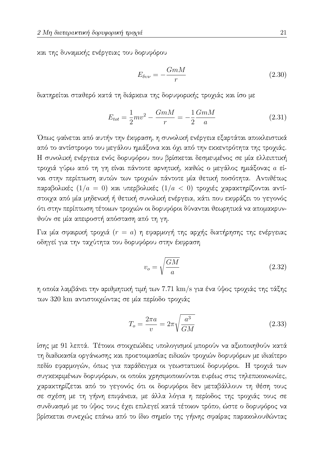και της δυναμικής ενέργειας του δορυφόρου

$$
E_{\delta v\nu} = -\frac{GmM}{r} \tag{2.30}
$$

διατηρείται σταθερό κατά τη διάρκεια της δορυφορικής τροχιάς και ίσο με

$$
E_{tot} = \frac{1}{2}mv^2 - \frac{GmM}{r} = -\frac{1}{2}\frac{GmM}{a}
$$
 (2.31)

Όπως φαίνεται από αυτήν την έκφραση, η συνολική ενέργεια εξαρτάται αποκλειστικά από το αντίστροφο του μεγάλου ημιάξονα και όχι από την εκκεντρότητα της τροχιάς. Η συνολική ενέργεια ενός δορυφόρου που βρίσκεται δεσμευμένος σε μία ελλειπτική τροχιά γύρω από τη γη είναι πάντοτε αρνητική, καθώς ο μεγάλος ημιάξονας a είναι στην περίπτωση αυτών των τροχιών πάντοτε μία θετική ποσότητα. Αντιθέτως παραβολικές  $(1/a = 0)$  και υπερβολικές  $(1/a < 0)$  τροχιές χαρακτηρίζονται αντίστοιχα από μία μηδενική ή θετική συνολική ενέργεια, κάτι που εκφράζει το γεγονός ότι στην περίπτωση τέτοιων τροχιών οι δορυφόροι δύνανται θεωρητικά να απομακρυνθούν σε μία απειροστή απόσταση από τη γη.

Για μία σφαιριχή τροχιά  $(r = a)$  η εφαρμογή της αρχής διατήρησης της ενέργειας οδηγεί για την ταχύτητα του δορυφόρου στην έκφραση

$$
v_o = \sqrt{\frac{GM}{a}}\tag{2.32}
$$

η οποία λαμβάνει την αριθμητική τιμή των 7.71 km/s για ένα ύψος τροχιάς της τάξης των 320 km αντιστοιχώντας σε μία περίοδο τροχιάς

$$
T_o = \frac{2\pi a}{v} = 2\pi \sqrt{\frac{a^3}{GM}}
$$
\n(2.33)

ίσης με 91 λεπτά. Τέτοιοι στοιχειώδεις υπολογισμοί μπορούν να αξιοποιηθούν κατά τη διαδικασία οργάνωσης και προετοιμασίας ειδικών τροχιών δορυφόρων με ιδιαίτερο πεδίο εφαρμογών, όπως για παράδειγμα οι γεωστατικοί δορυφόροι. Η τροχιά των συγκεκριμένων δορυφόρων, οι οποίοι χρησιμοποιούνται ευρέως στις τηλεπικοινωνίες, χαρακτηρίζεται από το γεγονός ότι οι δορυφόροι δεν μεταβάλλουν τη θέση τους σε σχέση με τη γήινη επιφάνεια, με άλλα λόγια η περίοδος της τροχιάς τους σε συνδυασμό με το ύψος τους έχει επιλεγεί κατά τέτοιον τρόπο, ώστε ο δορυφόρος να βρίσκεται συνεχώς επάνω από το ίδιο σημείο της γήινης σφαίρας παρακολουθώντας